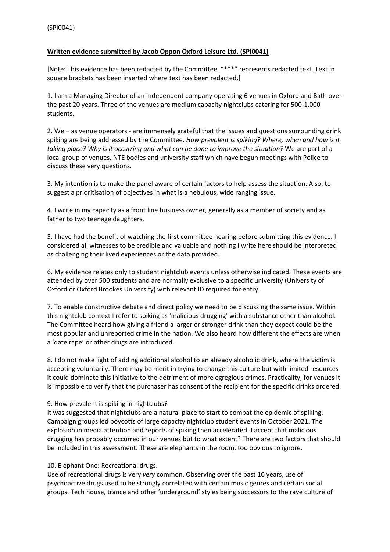# **Written evidence submitted by Jacob Oppon Oxford Leisure Ltd. (SPI0041)**

[Note: This evidence has been redacted by the Committee. "\*\*\*" represents redacted text. Text in square brackets has been inserted where text has been redacted.]

1. I am a Managing Director of an independent company operating 6 venues in Oxford and Bath over the past 20 years. Three of the venues are medium capacity nightclubs catering for 500-1,000 students.

2. We – as venue operators - are immensely grateful that the issues and questions surrounding drink spiking are being addressed by the Committee. *How prevalent is spiking? Where, when and how is it taking place? Why is it occurring and what can be done to improve the situation?* We are part of a local group of venues, NTE bodies and university staff which have begun meetings with Police to discuss these very questions.

3. My intention is to make the panel aware of certain factors to help assess the situation. Also, to suggest a prioritisation of objectives in what is a nebulous, wide ranging issue.

4. I write in my capacity as a front line business owner, generally as a member of society and as father to two teenage daughters.

5. I have had the benefit of watching the first committee hearing before submitting this evidence. I considered all witnesses to be credible and valuable and nothing I write here should be interpreted as challenging their lived experiences or the data provided.

6. My evidence relates only to student nightclub events unless otherwise indicated. These events are attended by over 500 students and are normally exclusive to a specific university (University of Oxford or Oxford Brookes University) with relevant ID required for entry.

7. To enable constructive debate and direct policy we need to be discussing the same issue. Within this nightclub context I refer to spiking as 'malicious drugging' with a substance other than alcohol. The Committee heard how giving a friend a larger or stronger drink than they expect could be the most popular and unreported crime in the nation. We also heard how different the effects are when a 'date rape' or other drugs are introduced.

8. I do not make light of adding additional alcohol to an already alcoholic drink, where the victim is accepting voluntarily. There may be merit in trying to change this culture but with limited resources it could dominate this initiative to the detriment of more egregious crimes. Practicality, for venues it is impossible to verify that the purchaser has consent of the recipient for the specific drinks ordered.

### 9. How prevalent is spiking in nightclubs?

It was suggested that nightclubs are a natural place to start to combat the epidemic of spiking. Campaign groups led boycotts of large capacity nightclub student events in October 2021. The explosion in media attention and reports of spiking then accelerated. I accept that malicious drugging has probably occurred in our venues but to what extent? There are two factors that should be included in this assessment. These are elephants in the room, too obvious to ignore.

### 10. Elephant One: Recreational drugs.

Use of recreational drugs is very *very* common. Observing over the past 10 years, use of psychoactive drugs used to be strongly correlated with certain music genres and certain social groups. Tech house, trance and other 'underground' styles being successors to the rave culture of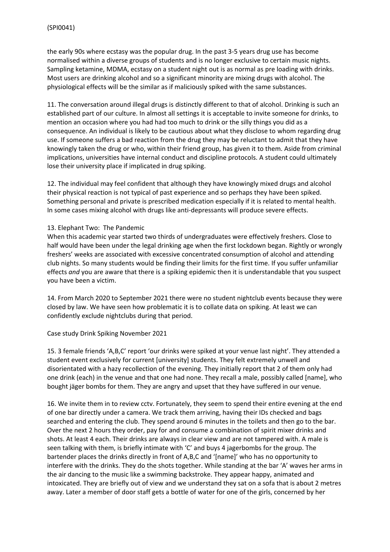the early 90s where ecstasy was the popular drug. In the past 3-5 years drug use has become normalised within a diverse groups of students and is no longer exclusive to certain music nights. Sampling ketamine, MDMA, ecstasy on a student night out is as normal as pre loading with drinks. Most users are drinking alcohol and so a significant minority are mixing drugs with alcohol. The physiological effects will be the similar as if maliciously spiked with the same substances.

11. The conversation around illegal drugs is distinctly different to that of alcohol. Drinking is such an established part of our culture. In almost all settings it is acceptable to invite someone for drinks, to mention an occasion where you had had too much to drink or the silly things you did as a consequence. An individual is likely to be cautious about what they disclose to whom regarding drug use. If someone suffers a bad reaction from the drug they may be reluctant to admit that they have knowingly taken the drug or who, within their friend group, has given it to them. Aside from criminal implications, universities have internal conduct and discipline protocols. A student could ultimately lose their university place if implicated in drug spiking.

12. The individual may feel confident that although they have knowingly mixed drugs and alcohol their physical reaction is not typical of past experience and so perhaps they have been spiked. Something personal and private is prescribed medication especially if it is related to mental health. In some cases mixing alcohol with drugs like anti-depressants will produce severe effects.

### 13. Elephant Two: The Pandemic

When this academic year started two thirds of undergraduates were effectively freshers. Close to half would have been under the legal drinking age when the first lockdown began. Rightly or wrongly freshers' weeks are associated with excessive concentrated consumption of alcohol and attending club nights. So many students would be finding their limits for the first time. If you suffer unfamiliar effects *and* you are aware that there is a spiking epidemic then it is understandable that you suspect you have been a victim.

14. From March 2020 to September 2021 there were no student nightclub events because they were closed by law. We have seen how problematic it is to collate data on spiking. At least we can confidently exclude nightclubs during that period.

### Case study Drink Spiking November 2021

15. 3 female friends 'A,B,C' report 'our drinks were spiked at your venue last night'. They attended a student event exclusively for current [university] students. They felt extremely unwell and disorientated with a hazy recollection of the evening. They initially report that 2 of them only had one drink (each) in the venue and that one had none. They recall a male, possibly called [name], who bought jäger bombs for them. They are angry and upset that they have suffered in our venue.

16. We invite them in to review cctv. Fortunately, they seem to spend their entire evening at the end of one bar directly under a camera. We track them arriving, having their IDs checked and bags searched and entering the club. They spend around 6 minutes in the toilets and then go to the bar. Over the next 2 hours they order, pay for and consume a combination of spirit mixer drinks and shots. At least 4 each. Their drinks are always in clear view and are not tampered with. A male is seen talking with them, is briefly intimate with 'C' and buys 4 jagerbombs for the group. The bartender places the drinks directly in front of A,B,C and '[name]' who has no opportunity to interfere with the drinks. They do the shots together. While standing at the bar 'A' waves her arms in the air dancing to the music like a swimming backstroke. They appear happy, animated and intoxicated. They are briefly out of view and we understand they sat on a sofa that is about 2 metres away. Later a member of door staff gets a bottle of water for one of the girls, concerned by her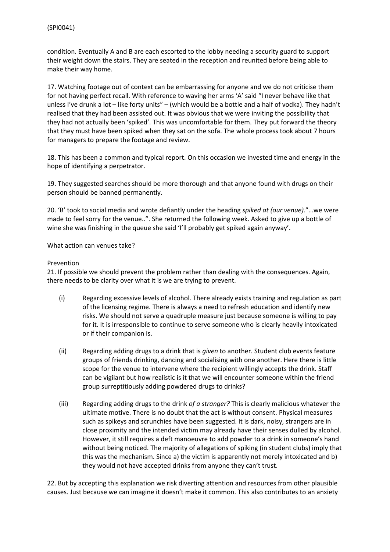condition. Eventually A and B are each escorted to the lobby needing a security guard to support their weight down the stairs. They are seated in the reception and reunited before being able to make their way home.

17. Watching footage out of context can be embarrassing for anyone and we do not criticise them for not having perfect recall. With reference to waving her arms 'A' said "I never behave like that unless I've drunk a lot - like forty units" - (which would be a bottle and a half of vodka). They hadn't realised that they had been assisted out. It was obvious that we were inviting the possibility that they had not actually been 'spiked'. This was uncomfortable for them. They put forward the theory that they must have been spiked when they sat on the sofa. The whole process took about 7 hours for managers to prepare the footage and review.

18. This has been a common and typical report. On this occasion we invested time and energy in the hope of identifying a perpetrator.

19. They suggested searches should be more thorough and that anyone found with drugs on their person should be banned permanently.

20. 'B' took to social media and wrote defiantly under the heading *spiked at (our venue)*."…we were made to feel sorry for the venue..". She returned the following week. Asked to give up a bottle of wine she was finishing in the queue she said 'I'll probably get spiked again anyway'.

What action can venues take?

#### Prevention

21. If possible we should prevent the problem rather than dealing with the consequences. Again, there needs to be clarity over what it is we are trying to prevent.

- (i) Regarding excessive levels of alcohol. There already exists training and regulation as part of the licensing regime. There is always a need to refresh education and identify new risks. We should not serve a quadruple measure just because someone is willing to pay for it. It is irresponsible to continue to serve someone who is clearly heavily intoxicated or if their companion is.
- (ii) Regarding adding drugs to a drink that is *given* to another. Student club events feature groups of friends drinking, dancing and socialising with one another. Here there is little scope for the venue to intervene where the recipient willingly accepts the drink. Staff can be vigilant but how realistic is it that we will encounter someone within the friend group surreptitiously adding powdered drugs to drinks?
- (iii) Regarding adding drugs to the drink *of a stranger?* This is clearly malicious whatever the ultimate motive. There is no doubt that the act is without consent. Physical measures such as spikeys and scrunchies have been suggested. It is dark, noisy, strangers are in close proximity and the intended victim may already have their senses dulled by alcohol. However, it still requires a deft manoeuvre to add powder to a drink in someone's hand without being noticed. The majority of allegations of spiking (in student clubs) imply that this was the mechanism. Since a) the victim is apparently not merely intoxicated and b) they would not have accepted drinks from anyone they can't trust.

22. But by accepting this explanation we risk diverting attention and resources from other plausible causes. Just because we can imagine it doesn't make it common. This also contributes to an anxiety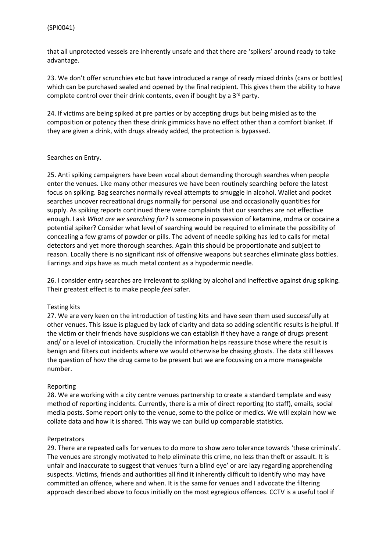that all unprotected vessels are inherently unsafe and that there are 'spikers' around ready to take advantage.

23. We don't offer scrunchies etc but have introduced a range of ready mixed drinks (cans or bottles) which can be purchased sealed and opened by the final recipient. This gives them the ability to have complete control over their drink contents, even if bought by a 3<sup>rd</sup> party.

24. If victims are being spiked at pre parties or by accepting drugs but being misled as to the composition or potency then these drink gimmicks have no effect other than a comfort blanket. If they are given a drink, with drugs already added, the protection is bypassed.

#### Searches on Entry.

25. Anti spiking campaigners have been vocal about demanding thorough searches when people enter the venues. Like many other measures we have been routinely searching before the latest focus on spiking. Bag searches normally reveal attempts to smuggle in alcohol. Wallet and pocket searches uncover recreational drugs normally for personal use and occasionally quantities for supply. As spiking reports continued there were complaints that our searches are not effective enough. I ask *What are we searching for?* Is someone in possession of ketamine, mdma or cocaine a potential spiker? Consider what level of searching would be required to eliminate the possibility of concealing a few grams of powder or pills. The advent of needle spiking has led to calls for metal detectors and yet more thorough searches. Again this should be proportionate and subject to reason. Locally there is no significant risk of offensive weapons but searches eliminate glass bottles. Earrings and zips have as much metal content as a hypodermic needle.

26. I consider entry searches are irrelevant to spiking by alcohol and ineffective against drug spiking. Their greatest effect is to make people *feel* safer.

### Testing kits

27. We are very keen on the introduction of testing kits and have seen them used successfully at other venues. This issue is plagued by lack of clarity and data so adding scientific results is helpful. If the victim or their friends have suspicions we can establish if they have a range of drugs present and/ or a level of intoxication. Crucially the information helps reassure those where the result is benign and filters out incidents where we would otherwise be chasing ghosts. The data still leaves the question of how the drug came to be present but we are focussing on a more manageable number.

### Reporting

28. We are working with a city centre venues partnership to create a standard template and easy method of reporting incidents. Currently, there is a mix of direct reporting (to staff), emails, social media posts. Some report only to the venue, some to the police or medics. We will explain how we collate data and how it is shared. This way we can build up comparable statistics.

### Perpetrators

29. There are repeated calls for venues to do more to show zero tolerance towards 'these criminals'. The venues are strongly motivated to help eliminate this crime, no less than theft or assault. It is unfair and inaccurate to suggest that venues 'turn a blind eye' or are lazy regarding apprehending suspects. Victims, friends and authorities all find it inherently difficult to identify who may have committed an offence, where and when. It is the same for venues and I advocate the filtering approach described above to focus initially on the most egregious offences. CCTV is a useful tool if